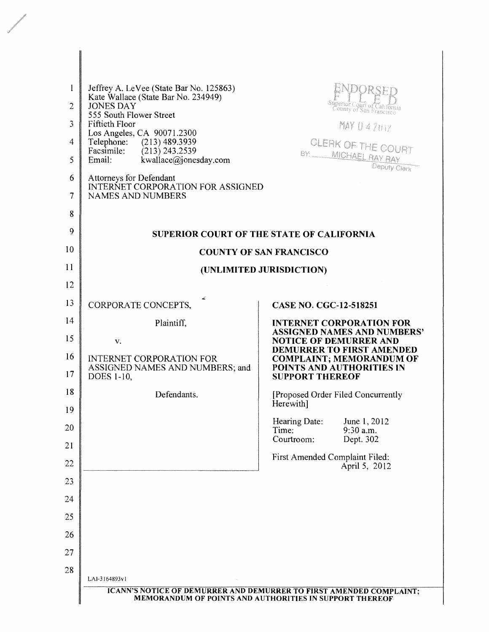| 1              | Jeffrey A. LeVee (State Bar No. 125863)                                                  |                                                                                                         |  |  |
|----------------|------------------------------------------------------------------------------------------|---------------------------------------------------------------------------------------------------------|--|--|
| $\overline{2}$ | Kate Wallace (State Bar No. 234949)<br><b>JONES DAY</b>                                  | Superior Court of C<br>County of San Francisco                                                          |  |  |
| 3              | 555 South Flower Street<br><b>Fiftieth Floor</b>                                         | MAY 0 4 2017                                                                                            |  |  |
| 4              | Los Angeles, CA 90071.2300<br>Telephone:<br>$(213)$ 489.3939                             | CLERK OF THE COURT                                                                                      |  |  |
| 5              | Facsimile:<br>$(213)$ 243.2539<br>Email:<br>kwallace@jonesday.com                        | BY: _____ MICHAEL RAY RAY<br>Deputy Clerk                                                               |  |  |
| 6<br>7         | Attorneys for Defendant<br>INTERNET CORPORATION FOR ASSIGNED<br><b>NAMES AND NUMBERS</b> |                                                                                                         |  |  |
| 8              |                                                                                          |                                                                                                         |  |  |
| 9              |                                                                                          | <b>SUPERIOR COURT OF THE STATE OF CALIFORNIA</b>                                                        |  |  |
| 10             | <b>COUNTY OF SAN FRANCISCO</b>                                                           |                                                                                                         |  |  |
| 11             |                                                                                          | (UNLIMITED JURISDICTION)                                                                                |  |  |
| 12             |                                                                                          |                                                                                                         |  |  |
| 13             | CORPORATE CONCEPTS,                                                                      | <b>CASE NO. CGC-12-518251</b>                                                                           |  |  |
| 14             | Plaintiff,                                                                               | <b>INTERNET CORPORATION FOR</b>                                                                         |  |  |
| 15             | V.                                                                                       | <b>ASSIGNED NAMES AND NUMBERS'</b><br><b>NOTICE OF DEMURRER AND</b><br><b>DEMURRER TO FIRST AMENDED</b> |  |  |
| 16<br>17       | <b>INTERNET CORPORATION FOR</b><br>ASSIGNED NAMES AND NUMBERS; and<br><b>DOES 1-10,</b>  | <b>COMPLAINT; MEMORANDUM OF</b><br>POINTS AND AUTHORITIES IN<br><b>SUPPORT THEREOF</b>                  |  |  |
| 18             | Defendants.                                                                              | [Proposed Order Filed Concurrently<br>Herewith]                                                         |  |  |
| 19<br>20       |                                                                                          | Hearing Date:<br>June 1, 2012<br>9:30 a.m.<br>Time:                                                     |  |  |
| 21             |                                                                                          | Courtroom:<br>Dept. 302                                                                                 |  |  |
| 22             |                                                                                          | First Amended Complaint Filed:<br>April 5, 2012                                                         |  |  |
| 23             |                                                                                          |                                                                                                         |  |  |
| 24             |                                                                                          |                                                                                                         |  |  |
| 25             |                                                                                          |                                                                                                         |  |  |
| 26             |                                                                                          |                                                                                                         |  |  |
| 27             |                                                                                          |                                                                                                         |  |  |
| 28             | LAI-3164893v1                                                                            |                                                                                                         |  |  |
|                |                                                                                          | ICANN'S NOTICE OF DEMURRER AND DEMURRER TO FIRST AMENDED COMPLAINT;                                     |  |  |
|                |                                                                                          | MEMORANDUM OF POINTS AND AUTHORITIES IN SUPPORT THEREOF                                                 |  |  |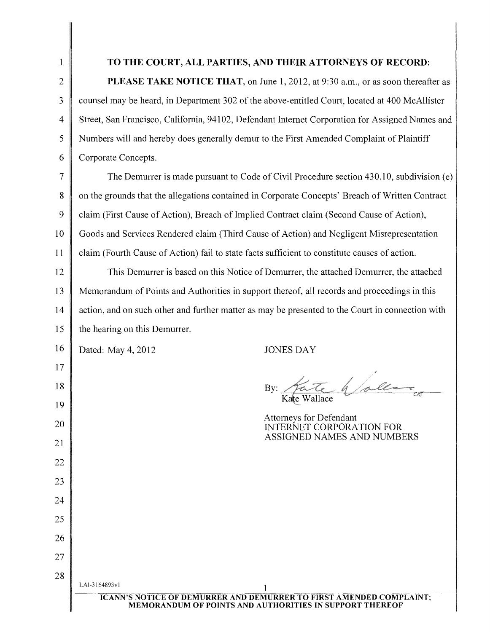# TO THE COURT, ALL PARTIES, AND THEIR ATTORNEYS OF RECORD:

PLEASE TAKE NOTICE THAT, on June 1, 2012, at 9:30 a.m., or as soon thereafter as 3 counsel may be heard, in Department 302 of the above-entitled Court, located at 400 McAllister 4 Street, San Francisco, California, 94102, Defendant Internet Corporation for Assigned Names and 5 Numbers will and hereby does generally demur to the First Amended Complaint of Plaintiff 6 Corporate Concepts.

7 The Demurrer is made pursuant to Code of Civil Procedure section 430.10, subdivision (e) 8 on the grounds that the allegations contained in Corporate Concepts' Breach of Written Contract 9 claim (First Cause of Action), Breach of Implied Contract claim (Second Cause of Action), 10 Goods and Services Rendered claim (Third Cause of Action) and Negligent Misrepresentation 11 claim (Fourth Cause of Action) fail to state facts sufficient to constitute causes of action.

12 This Demurrer is based on this Notice of Demurrer, the attached Demurrer, the attached 13 Memorandum of Points and Authorities in support thereof, all records and proceedings in this 14 action, and on such other and further matter as may be presented to the Court in connection with 15 the hearing on this Demurrer.

16 Dated: May 4, 2012

17

18

19

20

21

22

23

24

25

26

27

28

JONES DAY

hallen Wallace

Attorneys for Defendant INTERNET CORPORATION FOR ASSIGNED NAMES AND NUMBERS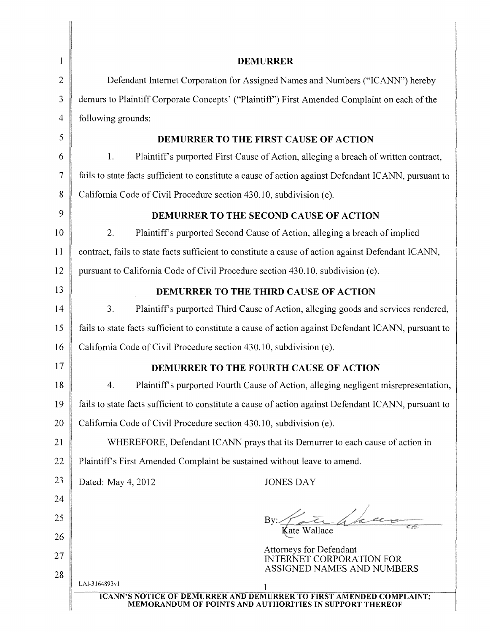| 1              | <b>DEMURRER</b>                                                                                      |  |
|----------------|------------------------------------------------------------------------------------------------------|--|
| $\overline{2}$ | Defendant Internet Corporation for Assigned Names and Numbers ("ICANN") hereby                       |  |
| 3              | demurs to Plaintiff Corporate Concepts' ("Plaintiff") First Amended Complaint on each of the         |  |
| $\overline{4}$ | following grounds:                                                                                   |  |
| 5              | <b>DEMURRER TO THE FIRST CAUSE OF ACTION</b>                                                         |  |
| 6              | 1.<br>Plaintiff's purported First Cause of Action, alleging a breach of written contract,            |  |
| 7              | fails to state facts sufficient to constitute a cause of action against Defendant ICANN, pursuant to |  |
| 8              | California Code of Civil Procedure section 430.10, subdivision (e).                                  |  |
| 9              | DEMURRER TO THE SECOND CAUSE OF ACTION                                                               |  |
| 10             | 2.<br>Plaintiff's purported Second Cause of Action, alleging a breach of implied                     |  |
| 11             | contract, fails to state facts sufficient to constitute a cause of action against Defendant ICANN,   |  |
| 12             | pursuant to California Code of Civil Procedure section 430.10, subdivision (e).                      |  |
| 13             | DEMURRER TO THE THIRD CAUSE OF ACTION                                                                |  |
| 14             | 3.<br>Plaintiff's purported Third Cause of Action, alleging goods and services rendered,             |  |
| 15             | fails to state facts sufficient to constitute a cause of action against Defendant ICANN, pursuant to |  |
| 16             | California Code of Civil Procedure section 430.10, subdivision (e).                                  |  |
| 17             | <b>DEMURRER TO THE FOURTH CAUSE OF ACTION</b>                                                        |  |
| 18             | Plaintiff's purported Fourth Cause of Action, alleging negligent misrepresentation,<br>4.            |  |
| 19             | fails to state facts sufficient to constitute a cause of action against Defendant ICANN, pursuant to |  |
| 20             | California Code of Civil Procedure section 430.10, subdivision (e).                                  |  |
| 21             | WHEREFORE, Defendant ICANN prays that its Demurrer to each cause of action in                        |  |
| 22             | Plaintiff's First Amended Complaint be sustained without leave to amend.                             |  |
| 23             | Dated: May 4, 2012<br><b>JONES DAY</b>                                                               |  |
| 24             |                                                                                                      |  |
| 25             | By:                                                                                                  |  |
| 26             | Kate Wallace                                                                                         |  |
| 27             | <b>Attorneys for Defendant</b><br><b>INTERNET CORPORATION FOR</b>                                    |  |
| 28             | ASSIGNED NAMES AND NUMBERS                                                                           |  |
|                | LAI-3164893v1<br><b>ICANN'S NOTICE OF DEMURRER AND DEMURRER TO FIRST AMENDED COMPLAINT;</b>          |  |
|                | MEMORANDUM OF POINTS AND AUTHORITIES IN SUPPORT THEREOF                                              |  |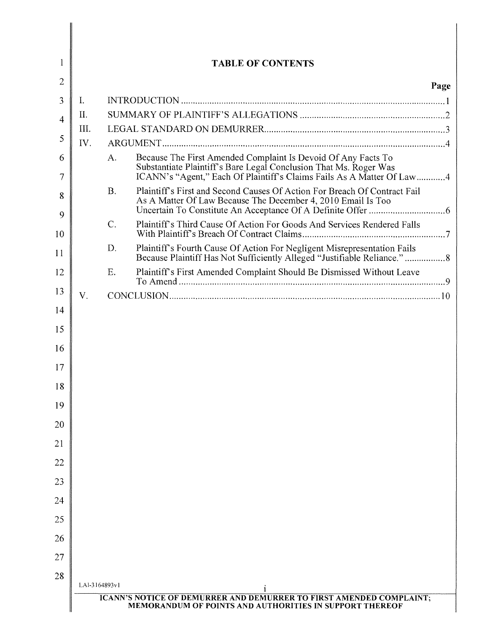| 1      |               | <b>TABLE OF CONTENTS</b>                                                                                                                                                                                          |      |
|--------|---------------|-------------------------------------------------------------------------------------------------------------------------------------------------------------------------------------------------------------------|------|
| 2      |               |                                                                                                                                                                                                                   | Page |
| 3      | I.            |                                                                                                                                                                                                                   |      |
| 4      | II.           |                                                                                                                                                                                                                   |      |
| 5      | III.          |                                                                                                                                                                                                                   |      |
|        | IV.           |                                                                                                                                                                                                                   |      |
| 6<br>7 |               | Because The First Amended Complaint Is Devoid Of Any Facts To<br>A.<br>Substantiate Plaintiff's Bare Legal Conclusion That Ms. Roger Was<br>ICANN's "Agent," Each Of Plaintiff's Claims Fails As A Matter Of Law4 |      |
| 8<br>9 |               | <b>B.</b><br>Plaintiff's First and Second Causes Of Action For Breach Of Contract Fail<br>As A Matter Of Law Because The December 4, 2010 Email Is Too                                                            |      |
| 10     |               | Plaintiff's Third Cause Of Action For Goods And Services Rendered Falls<br>$C$ .                                                                                                                                  |      |
| 11     |               | D.<br>Plaintiff's Fourth Cause Of Action For Negligent Misrepresentation Fails                                                                                                                                    |      |
| 12     |               | Plaintiff's First Amended Complaint Should Be Dismissed Without Leave<br>E.                                                                                                                                       |      |
| 13     | V.            |                                                                                                                                                                                                                   |      |
| 14     |               |                                                                                                                                                                                                                   |      |
| 15     |               |                                                                                                                                                                                                                   |      |
| 16     |               |                                                                                                                                                                                                                   |      |
| 17     |               |                                                                                                                                                                                                                   |      |
| 18     |               |                                                                                                                                                                                                                   |      |
| 19     |               |                                                                                                                                                                                                                   |      |
| 20     |               |                                                                                                                                                                                                                   |      |
| 21     |               |                                                                                                                                                                                                                   |      |
| 22     |               |                                                                                                                                                                                                                   |      |
| 23     |               |                                                                                                                                                                                                                   |      |
| 24     |               |                                                                                                                                                                                                                   |      |
| 25     |               |                                                                                                                                                                                                                   |      |
| 26     |               |                                                                                                                                                                                                                   |      |
| 27     |               |                                                                                                                                                                                                                   |      |
| 28     |               |                                                                                                                                                                                                                   |      |
|        | LAI-3164893v1 | 1<br><b>ICANN'S NOTICE OF DEMURRER AND DEMURRER TO FIRST AMENDED COMPLAINT;</b>                                                                                                                                   |      |

 $\begin{array}{c} \hline \end{array}$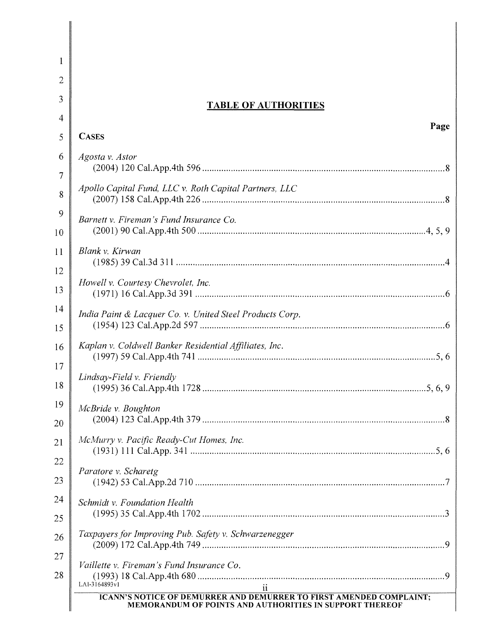| 1  |                                                                                                                                       |
|----|---------------------------------------------------------------------------------------------------------------------------------------|
| 2  |                                                                                                                                       |
| 3  | <b>TABLE OF AUTHORITIES</b>                                                                                                           |
| 4  | Page                                                                                                                                  |
| 5  | <b>CASES</b>                                                                                                                          |
| 6  | Agosta v. Astor                                                                                                                       |
| 7  |                                                                                                                                       |
| 8  | Apollo Capital Fund, LLC v. Roth Capital Partners, LLC                                                                                |
| 9  | Barnett v. Fireman's Fund Insurance Co.                                                                                               |
| 10 |                                                                                                                                       |
| 11 | Blank v. Kirwan                                                                                                                       |
| 12 |                                                                                                                                       |
| 13 | Howell v. Courtesy Chevrolet, Inc.                                                                                                    |
| 14 | India Paint & Lacquer Co. v. United Steel Products Corp.                                                                              |
| 15 |                                                                                                                                       |
| 16 | Kaplan v. Coldwell Banker Residential Affiliates, Inc.                                                                                |
| 17 |                                                                                                                                       |
| 18 | Lindsay-Field v. Friendly                                                                                                             |
| 19 | McBride v. Boughton                                                                                                                   |
| 20 |                                                                                                                                       |
| 21 | McMurry v. Pacific Ready-Cut Homes, Inc.                                                                                              |
| 22 |                                                                                                                                       |
| 23 | Paratore v. Scharetg                                                                                                                  |
| 24 | Schmidt v. Foundation Health                                                                                                          |
| 25 |                                                                                                                                       |
| 26 | Taxpayers for Improving Pub. Safety v. Schwarzenegger                                                                                 |
| 27 | Vaillette v. Fireman's Fund Insurance Co.                                                                                             |
| 28 | LAI-3164893v1                                                                                                                         |
|    | <b>ICANN'S NOTICE OF DEMURRER AND DEMURRER TO FIRST AMENDED COMPLAINT;</b><br>MEMORANDUM OF POINTS AND AUTHORITIES IN SUPPORT THEREOF |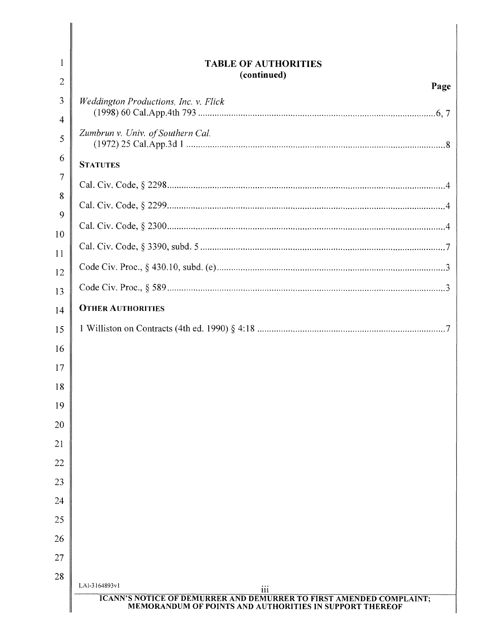| $\mathbf{1}$        | <b>TABLE OF AUTHORITIES</b>                                                                                                           |
|---------------------|---------------------------------------------------------------------------------------------------------------------------------------|
| $\overline{2}$      | (continued)<br>Page                                                                                                                   |
| 3<br>$\overline{4}$ | Weddington Productions, Inc. v. Flick                                                                                                 |
| 5                   | Zumbrun v. Univ. of Southern Cal.                                                                                                     |
| 6                   | <b>STATUTES</b>                                                                                                                       |
| 7                   |                                                                                                                                       |
| 8<br>9              |                                                                                                                                       |
| 10                  |                                                                                                                                       |
| 11                  |                                                                                                                                       |
| 12                  |                                                                                                                                       |
| 13                  |                                                                                                                                       |
| 14                  | <b>OTHER AUTHORITIES</b>                                                                                                              |
| 15                  |                                                                                                                                       |
| 16                  |                                                                                                                                       |
| 17                  |                                                                                                                                       |
| 18                  |                                                                                                                                       |
| 19                  |                                                                                                                                       |
| 20                  |                                                                                                                                       |
| 21                  |                                                                                                                                       |
| 22                  |                                                                                                                                       |
| 23                  |                                                                                                                                       |
| 24                  |                                                                                                                                       |
| 25<br>26            |                                                                                                                                       |
| 27                  |                                                                                                                                       |
| 28                  |                                                                                                                                       |
|                     | LAI-3164893v1<br>$\overline{111}$                                                                                                     |
|                     | <b>ICANN'S NOTICE OF DEMURRER AND DEMURRER TO FIRST AMENDED COMPLAINT;</b><br>MEMORANDUM OF POINTS AND AUTHORITIES IN SUPPORT THEREOF |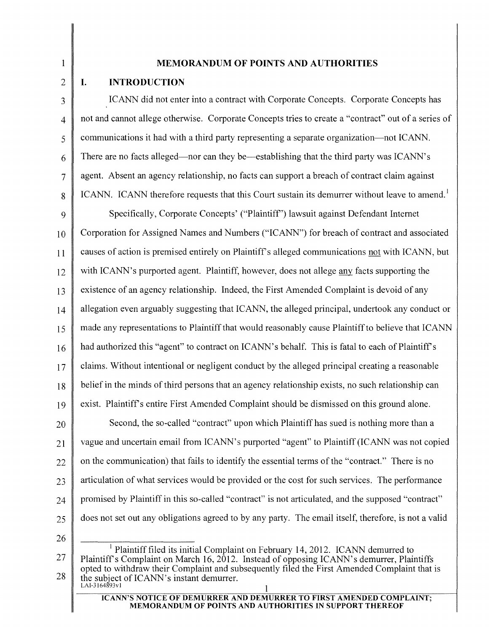# MEMORANDUM OF POINTS AND AUTHORITIES

### $2 \parallel L$ INTRODUCTION

 $\mathbf{1}$ 

3 CANN did not enter into a contract with Corporate Concepts. Corporate Concepts has 4 not and cannot allege otherwise. Corporate Concepts tries to create a "contract" out of a series of 5 communications it had with a third party representing a separate organization-not ICANN.  $6 \parallel$  There are no facts alleged—nor can they be—establishing that the third party was ICANN's 7 agent. Absent an agency relationship, no facts can support a breach of contract claim against  $8 \parallel$  ICANN. ICANN therefore requests that this Court sustain its demurrer without leave to amend.<sup>1</sup>

9 Specifically, Corporate Concepts' ("Plaintiff') lawsuit against Defendant Internet 10 Corporation for Assigned Names and Numbers ("ICANN") for breach of contract and associated 11 causes of action is premised entirely on Plaintiff's alleged communications not with ICANN, but 12 with ICANN's purported agent. Plaintiff, however, does not allege any facts supporting the 13 existence of an agency relationship. Indeed, the First Amended Complaint is devoid of any 14 allegation even arguably suggesting that ICANN, the alleged principal, undertook any conduct or 15 made any representations to Plaintiff that would reasonably cause Plaintiff to believe that ICANN 16 had authorized this "agent" to contract on ICANN's behalf. This is fatal to each of Plaintiff's 17 claims. Without intentional or negligent conduct by the alleged principal creating a reasonable  $18$  belief in the minds of third persons that an agency relationship exists, no such relationship can 19 exist. Plaintiffs entire First Amended Complaint should be dismissed on this ground alone.

20 Second, the so-called "contract" upon which Plaintiff has sued is nothing more than a 21 vague and uncertain email from ICANN's purported "agent" to Plaintiff (ICANN was not copied  $22 \parallel$  on the communication) that fails to identify the essential terms of the "contract." There is no  $23$  articulation of what services would be provided or the cost for such services. The performance  $24$  promised by Plaintiff in this so-called "contract" is not articulated, and the supposed "contract" 25 does not set out any obligations agreed to by any party. The email itself, therefore, is not a valid

26

27 28 <sup>1</sup> Plaintiff filed its initial Complaint on February 14, 2012. ICANN demurred to Plaintiff's Complaint on March 16, 2012. Instead of opposing ICANN's demurrer, Plaintiffs opted to withdraw their Complaint and subsequently filed the First Amended Complaint that is the subject of ICANN's instant demurrer. LAI-3164893vl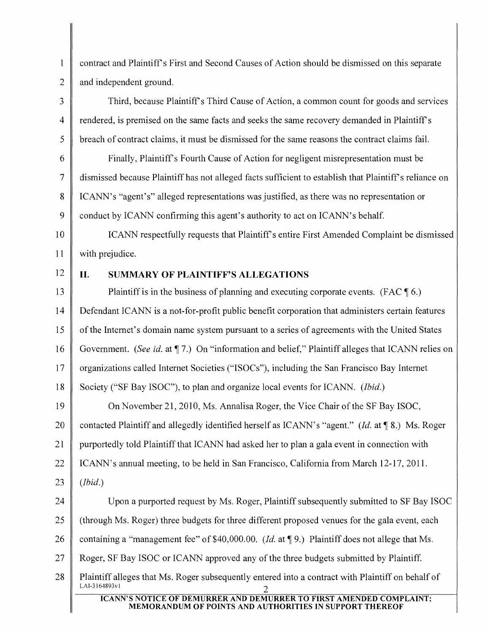$\mathbf{1}$ contract and Plaintiff's First and Second Causes of Action should be dismissed on this separate 2 and independent ground.

3 Third, because Plaintiff's Third Cause of Action, a common count for goods and services 4 rendered, is premised on the same facts and seeks the same recovery demanded in Plaintiff's 5 breach of contract claims, it must be dismissed for the same reasons the contract claims fail.

 Finally, Plaintiff's Fourth Cause of Action for negligent misrepresentation must be dismissed because Plaintiff has not alleged facts sufficient to establish that Plaintiff's reliance on ICANN's "agent's" alleged representations was justified, as there was no representation or 9 conduct by ICANN confirming this agent's authority to act on ICANN's behalf.

10 | ICANN respectfully requests that Plaintiff's entire First Amended Complaint be dismissed 11 | with prejudice.

# 12 II. SUMMARY OF PLAINTIFF'S ALLEGATIONS

13 Plaintiff is in the business of planning and executing corporate events. (FAC  $\llbracket 6 \rrbracket$ ) 14 Defendant ICANN is a not-for-profit public benefit corporation that administers certain features 15 of the Internet's domain name system pursuant to a series of agreements with the United States 16 Government. *(See id.* at 17.) On "information and belief," Plaintiff alleges that ICANN relies on 17 organizations called Internet Societies ("ISOCs"), including the San Francisco Bay Internet 18 Society ("SF Bay ISOC"), to plan and organize local events for ICANN. *(Ibid.)*

19 On November 21, 2010, Ms. Annalisa Roger, the Vice Chair of the SF Bay ISOC, 20 contacted Plaintiff and allegedly identified herself as ICANN's "agent." *(Id.* at 18.) Ms. Roger 21  $\parallel$  purportedly told Plaintiff that ICANN had asked her to plan a gala event in connection with 22 | ICANN's annual meeting, to be held in San Francisco, California from March 12-17, 2011. *23 (Ibid.)*

24 Upon a purported request by Ms. Roger, Plaintiff subsequently submitted to SF Bay ISOC 25 (through Ms. Roger) three budgets for three different proposed venues for the gala event, each 26 containing a "management fee" of \$40,000.00. *(Id.* at 19.) Plaintiff does not allege that Ms. 27 Roger, SF Bay ISOC or ICANN approved any of the three budgets submitted by Plaintiff. 28 Plaintiff alleges that Ms. Roger subsequently entered into a contract with Plaintiff on behalf of LAI-3164893vl 2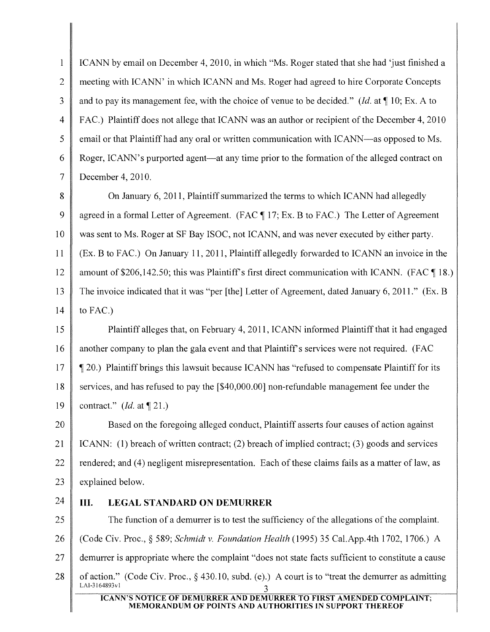$\mathbf{1}$ ICANN by email on December 4, 2010, in which "Ms. Roger stated that she had 'just finished a 2 meeting with ICANN' in which ICANN and Ms. Roger had agreed to hire Corporate Concepts 3 and to pay its management fee, with the choice of venue to be decided." *(Id.* at  $\P$  10; Ex. A to 4 FAC.) Plaintiff does not allege that ICANN was an author or recipient of the December 4, 2010 5 email or that Plaintiff had any oral or written communication with ICANN—as opposed to Ms. 6 Roger, ICANN's purported agent—at any time prior to the formation of the alleged contract on 7 December 4, 2010.

8 **On January 6, 2011, Plaintiff summarized the terms to which ICANN had allegedly** 9 agreed in a formal Letter of Agreement. (FAC  $\P$  17; Ex. B to FAC.) The Letter of Agreement 10 was sent to Ms. Roger at SF Bay ISOC, not ICANN, and was never executed by either party. 11 (Ex. B to FAC.) On January 11,2011, Plaintiff allegedly forwarded to ICANN an invoice in the 12 amount of \$206,142.50; this was Plaintiff's first direct communication with ICANN. (FAC  $\P$  18.) 13 The invoice indicated that it was "per [the] Letter of Agreement, dated January 6, 2011." (Ex. B 14 to FAC.)

15 Plaintiff alleges that, on February 4,2011, ICANN informed Plaintiffthat it had engaged 16 another company to plan the gala event and that Plaintiff's services were not required. (FAC 17  $\parallel$  ¶ 20.) Plaintiff brings this lawsuit because ICANN has "refused to compensate Plaintiff for its 18 services, and has refused to pay the [\$40,000.00] non-refundable management fee under the 19 contract."  $(Id.$  at  $\P$  21.)

20 **Based on the foregoing alleged conduct, Plaintiff asserts four causes of action against** 21 ICANN: (1) breach of written contract; (2) breach of implied contract; (3) goods and services 22 rendered; and (4) negligent misrepresentation. Each of these claims fails as a matter of law, as 23 explained below.

# 24 III. LEGAL STANDARD ON DEMURRER

25 The function of a demurrer is to test the sufficiency of the allegations of the complaint.

26 (Code Civ. Proc., § 589; *Schmidt* v. *Foundation Health* (1995) 35 Cal.App.4th 1702, 1706.) A

27 demurrer is appropriate where the complaint "does not state facts sufficient to constitute a cause

28 of action." (Code Civ. Proc., § 430.10, subd. (e).) A court is to "treat the demurrer as admitting LAI-3164893vl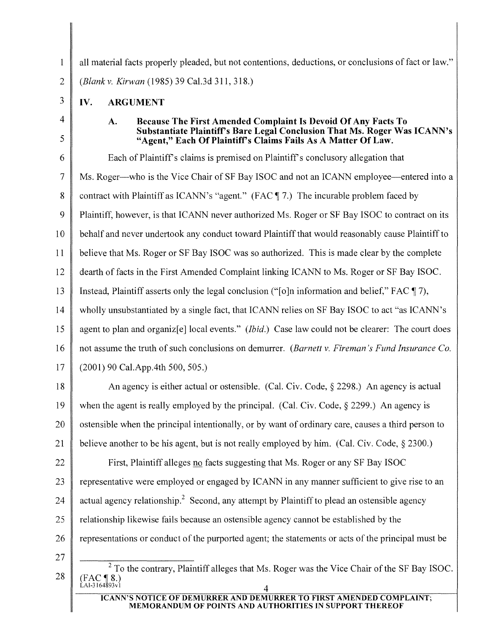$\mathbf{1}$ all material facts properly pleaded, but not contentions, deductions, or conclusions of fact or law." *2 (Blank* v. *Kirwan* (1985) 39 Ca1.3d 311,318.)

- $3$  IV. ARGUMENT IV.
- 4
- 5

# A. Because The First Amended Complaint Is Devoid Of Any Facts To Substantiate Plaintiff's Bare Legal Conclusion That Ms. Roger Was ICANN's "Agent," Each Of Plaintiff's Claims Fails As A Matter Of Law.

6 Each of Plaintiff's claims is premised on Plaintiff's conclusory allegation that 7 Ms. Roger-who is the Vice Chair of SF Bay ISOC and not an ICANN employee-entered into a 8 contract with Plaintiff as ICANN's "agent." (FAC 17.) The incurable problem faced by 9 Plaintiff, however, is that ICANN never authorized Ms. Roger or SF Bay ISOC to contract on its 10 behalf and never undertook any conduct toward Plaintiff that would reasonably cause Plaintiff to 11 believe that Ms. Roger or SF Bay ISOC was so authorized. This is made clear by the complete 12 dearth of facts in the First Amended Complaint linking ICANN to Ms. Roger or SF Bay ISOC. 13 Instead, Plaintiff asserts only the legal conclusion ("[o]n information and belief," FAC  $\P$ 7), 14 wholly unsubstantiated by a single fact, that ICANN relies on SF Bay ISOC to act "as ICANN's 15 agent to plan and organiz[e] local events." *(Ibid.)* Case law could not be clearer: The court does 16 not assume the truth ofsuch conclusions on demurrer. *(Barnett* v. *Fireman's Fund Insurance Co.*  $17 \parallel (2001)$  90 Cal.App.4th 500, 505.)

18 An agency is either actual or ostensible. (Cal. Civ. Code,  $\S$  2298.) An agency is actual 19 when the agent is really employed by the principal. (Cal. Civ. Code,  $\S$  2299.) An agency is 20 ostensible when the principal intentionally, or by want of ordinary care, causes a third person to 21 believe another to be his agent, but is not really employed by him. (Cal. Civ. Code,  $\S$  2300.)

22 First, Plaintiff alleges no facts suggesting that Ms. Roger or any SF Bay ISOC 23 representative were employed or engaged by ICANN in any manner sufficient to give rise to an 24 actual agency relationship.<sup>2</sup> Second, any attempt by Plaintiff to plead an ostensible agency 25  $\parallel$  relationship likewise fails because an ostensible agency cannot be established by the

- 26 representations or conduct of the purported agent; the statements or acts of the principal must be
- 27

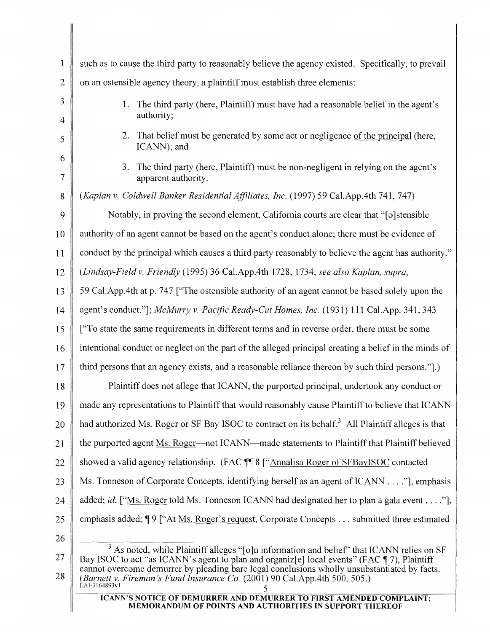| $\mathbf{1}$        | such as to cause the third party to reasonably believe the agency existed. Specifically, to prevail                                                                                                                                                                                                 |
|---------------------|-----------------------------------------------------------------------------------------------------------------------------------------------------------------------------------------------------------------------------------------------------------------------------------------------------|
| $\overline{2}$      | on an ostensible agency theory, a plaintiff must establish three elements:                                                                                                                                                                                                                          |
| 3                   | The third party (here, Plaintiff) must have had a reasonable belief in the agent's<br>1.                                                                                                                                                                                                            |
| 4                   | authority;                                                                                                                                                                                                                                                                                          |
| 5                   | 2. That belief must be generated by some act or negligence of the principal (here,<br>ICANN); and                                                                                                                                                                                                   |
| 6<br>$\overline{7}$ | The third party (here, Plaintiff) must be non-negligent in relying on the agent's<br>3.<br>apparent authority.                                                                                                                                                                                      |
| 8                   | (Kaplan v. Coldwell Banker Residential Affiliates, Inc. (1997) 59 Cal. App. 4th 741, 747)                                                                                                                                                                                                           |
| 9                   | Notably, in proving the second element, California courts are clear that "[o] stensible                                                                                                                                                                                                             |
| 10                  | authority of an agent cannot be based on the agent's conduct alone; there must be evidence of                                                                                                                                                                                                       |
| 11                  | conduct by the principal which causes a third party reasonably to believe the agent has authority."                                                                                                                                                                                                 |
| 12                  | (Lindsay-Field v. Friendly (1995) 36 Cal.App.4th 1728, 1734; see also Kaplan, supra,                                                                                                                                                                                                                |
| 13                  | 59 Cal. App. 4th at p. 747 ["The ostensible authority of an agent cannot be based solely upon the                                                                                                                                                                                                   |
| 14                  | agent's conduct."]; McMurry v. Pacific Ready-Cut Homes, Inc. (1931) 111 Cal.App. 341, 343                                                                                                                                                                                                           |
| 15                  | ["To state the same requirements in different terms and in reverse order, there must be some                                                                                                                                                                                                        |
| 16                  | intentional conduct or neglect on the part of the alleged principal creating a belief in the minds of                                                                                                                                                                                               |
| 17                  | third persons that an agency exists, and a reasonable reliance thereon by such third persons.".)                                                                                                                                                                                                    |
| 18                  | Plaintiff does not allege that ICANN, the purported principal, undertook any conduct or                                                                                                                                                                                                             |
| 19                  | made any representations to Plaintiff that would reasonably cause Plaintiff to believe that ICANN                                                                                                                                                                                                   |
| 20                  | had authorized Ms. Roger or SF Bay ISOC to contract on its behalf. <sup>3</sup> All Plaintiff alleges is that                                                                                                                                                                                       |
| 21                  | the purported agent Ms. Roger—not ICANN—made statements to Plaintiff that Plaintiff believed                                                                                                                                                                                                        |
| 22                  | showed a valid agency relationship. (FAC T 8 ["Annalisa Roger of SFBayISOC contacted                                                                                                                                                                                                                |
| 23                  | Ms. Tonneson of Corporate Concepts, identifying herself as an agent of ICANN"], emphasis                                                                                                                                                                                                            |
| 24                  | added; <i>id.</i> ["Ms. Roger told Ms. Tonneson ICANN had designated her to plan a gala event"],                                                                                                                                                                                                    |
| 25                  | emphasis added; ¶ 9 ["At Ms. Roger's request, Corporate Concepts submitted three estimated                                                                                                                                                                                                          |
| 26                  |                                                                                                                                                                                                                                                                                                     |
| 27                  | <sup>3</sup> As noted, while Plaintiff alleges "[o]n information and belief" that ICANN relies on SF<br>Bay ISOC to act "as ICANN's agent to plan and organiz[e] local events" (FAC ¶ 7), Plaintiff<br>cannot overcome demurrer by pleading bare legal conclusions wholly unsubstantiated by facts. |
| 28                  | (Barnett v. Fireman's Fund Insurance Co. $(2001)$ 90 Cal.App.4th 500, 505.)<br>LAI-3164893v1                                                                                                                                                                                                        |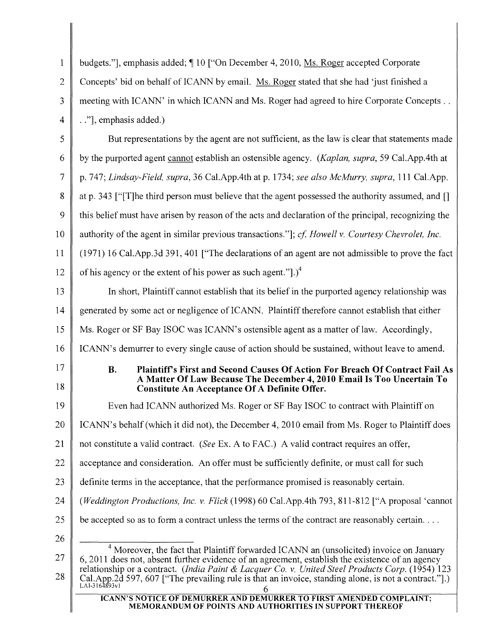| 1              | budgets."], emphasis added; ¶10 ["On December 4, 2010, Ms. Roger accepted Corporate                                                                                                                                                                                                                                                                                                                                    |  |  |  |
|----------------|------------------------------------------------------------------------------------------------------------------------------------------------------------------------------------------------------------------------------------------------------------------------------------------------------------------------------------------------------------------------------------------------------------------------|--|--|--|
| $\overline{2}$ | Concepts' bid on behalf of ICANN by email. Ms. Roger stated that she had 'just finished a                                                                                                                                                                                                                                                                                                                              |  |  |  |
| 3              | meeting with ICANN' in which ICANN and Ms. Roger had agreed to hire Corporate Concepts                                                                                                                                                                                                                                                                                                                                 |  |  |  |
| 4              | "], emphasis added.)                                                                                                                                                                                                                                                                                                                                                                                                   |  |  |  |
| 5              | But representations by the agent are not sufficient, as the law is clear that statements made                                                                                                                                                                                                                                                                                                                          |  |  |  |
| 6              | by the purported agent cannot establish an ostensible agency. (Kaplan, supra, 59 Cal.App.4th at                                                                                                                                                                                                                                                                                                                        |  |  |  |
| 7              | p. 747; Lindsay-Field, supra, 36 Cal.App.4th at p. 1734; see also McMurry, supra, 111 Cal.App.                                                                                                                                                                                                                                                                                                                         |  |  |  |
| 8              | at p. 343 ["T] he third person must believe that the agent possessed the authority assumed, and []                                                                                                                                                                                                                                                                                                                     |  |  |  |
| 9              | this belief must have arisen by reason of the acts and declaration of the principal, recognizing the                                                                                                                                                                                                                                                                                                                   |  |  |  |
| 10             | authority of the agent in similar previous transactions."]; cf. Howell v. Courtesy Chevrolet, Inc.                                                                                                                                                                                                                                                                                                                     |  |  |  |
| 11             | (1971) 16 Cal.App.3d 391, 401 ["The declarations of an agent are not admissible to prove the fact                                                                                                                                                                                                                                                                                                                      |  |  |  |
| 12             | of his agency or the extent of his power as such agent.".) <sup>4</sup>                                                                                                                                                                                                                                                                                                                                                |  |  |  |
| 13             | In short, Plaintiff cannot establish that its belief in the purported agency relationship was                                                                                                                                                                                                                                                                                                                          |  |  |  |
| 14             | generated by some act or negligence of ICANN. Plaintiff therefore cannot establish that either                                                                                                                                                                                                                                                                                                                         |  |  |  |
| 15             | Ms. Roger or SF Bay ISOC was ICANN's ostensible agent as a matter of law. Accordingly,                                                                                                                                                                                                                                                                                                                                 |  |  |  |
| 16             | ICANN's demurrer to every single cause of action should be sustained, without leave to amend.                                                                                                                                                                                                                                                                                                                          |  |  |  |
| 17<br>18       | <b>B.</b><br>Plaintiff's First and Second Causes Of Action For Breach Of Contract Fail As<br>A Matter Of Law Because The December 4, 2010 Email Is Too Uncertain To<br><b>Constitute An Acceptance Of A Definite Offer.</b>                                                                                                                                                                                            |  |  |  |
| 19             | Even had ICANN authorized Ms. Roger or SF Bay ISOC to contract with Plaintiff on                                                                                                                                                                                                                                                                                                                                       |  |  |  |
| 20             | ICANN's behalf (which it did not), the December 4, 2010 email from Ms. Roger to Plaintiff does                                                                                                                                                                                                                                                                                                                         |  |  |  |
| 21             | not constitute a valid contract. (See Ex. A to FAC.) A valid contract requires an offer,                                                                                                                                                                                                                                                                                                                               |  |  |  |
| 22             | acceptance and consideration. An offer must be sufficiently definite, or must call for such                                                                                                                                                                                                                                                                                                                            |  |  |  |
| 23             | definite terms in the acceptance, that the performance promised is reasonably certain.                                                                                                                                                                                                                                                                                                                                 |  |  |  |
| 24             | ( <i>Weddington Productions, Inc. v. Flick</i> (1998) 60 Cal.App.4th 793, 811-812 ["A proposal 'cannot"                                                                                                                                                                                                                                                                                                                |  |  |  |
| 25             | be accepted so as to form a contract unless the terms of the contract are reasonably certain.                                                                                                                                                                                                                                                                                                                          |  |  |  |
| 26             |                                                                                                                                                                                                                                                                                                                                                                                                                        |  |  |  |
| 27<br>28       | <sup>4</sup> Moreover, the fact that Plaintiff forwarded ICANN an (unsolicited) invoice on January<br>6, 2011 does not, absent further evidence of an agreement, establish the existence of an agency<br>relationship or a contract. (India Paint & Lacquer Co. v. United Steel Products Corp. (1954) 123<br>Cal.App.2d 597, 607 ["The prevailing rule is that an invoice, standing alone, is not a contract."].)<br>6 |  |  |  |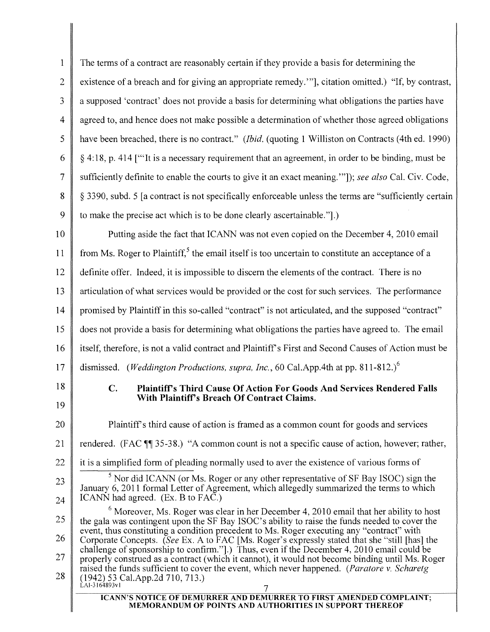1 The terms of a contract are reasonably certain ifthey provide a basis for determining the 2 existence of a breach and for giving an appropriate remedy." is citation omitted.) "If, by contrast, 3 a supposed 'contract' does not provide a basis for determining what obligations the parties have  $4 \parallel$  agreed to, and hence does not make possible a determination of whether those agreed obligations 5 have been breached, there is no contract." *(Ibid.* (quoting 1 Williston on Contracts (4th ed. 1990) 6 \| \ \ \ \ \ 4:18, p. 414 [\"\] it is a necessary requirement that an agreement, in order to be binding, must be 7 sufficiently definite to enable the courts to give it an exact meaning. "']); *see also* Cal. Civ. Code, 8 \\ \ \ \ \ \ 3390, subd. 5 \ \ a contract is not specifically enforceable unless the terms are "sufficiently certain 9 to make the precise act which is to be done clearly ascertainable.".)

10 **Putting aside the fact that ICANN** was not even copied on the December 4, 2010 email 11 from Ms. Roger to Plaintiff,<sup>5</sup> the email itself is too uncertain to constitute an acceptance of a  $12 \parallel$  definite offer. Indeed, it is impossible to discern the elements of the contract. There is no 13 articulation of what services would be provided or the cost for such services. The performance 14 promised by Plaintiff in this so-called "contract" is not articulated, and the supposed "contract" 15 does not provide a basis for determining what obligations the parties have agreed to. The email 16 | itself, therefore, is not a valid contract and Plaintiff's First and Second Causes of Action must be 17 dismissed. *(Weddington Productions, supra, Inc.,* 60 Cal.AppAth at pp. *811-812l*

- 18
- c. Plaintiff's Third Cause Of Action For Goods And Services Rendered Falls With Plaintiff's Breach Of Contract Claims.
- 19 20

23

24

Plaintiff's third cause of action is framed as a common count for goods and services

- 21 rendered. (FAC  $\P$  35-38.) "A common count is not a specific cause of action, however; rather,
- 22 it is a simplified form of pleading normally used to aver the existence of various forms of
	- $<sup>5</sup>$  Nor did ICANN (or Ms. Roger or any other representative of SF Bay ISOC) sign the</sup> January 6, 2011 formal Letter of Agreement, which allegedly summarized the terms to which ICANN had agreed. (Ex. B to FAC.)

7 25 26 27 28  $6$  Moreover, Ms. Roger was clear in her December 4, 2010 email that her ability to host the gala was contingent upon the SF Bay ISOC's ability to raise the funds needed to cover the event, thus constituting a condition precedent to Ms. Roger executing any "contract" with Corporate Concepts. *(See* Ex. A to FAC [Ms. Roger's expressly stated that she "still [has] the challenge of sponsorship to confirm."].) Thus, even if the December 4, 2010 email could be properly construed as a contract (which it cannot), it would not become binding until Ms. Roger raised the funds sufficient to cover the event, which never happened. *(Paratore* v. *Scharetg* (1942) 53 Cal.App.2d 710, 713.) LAI-3164893vl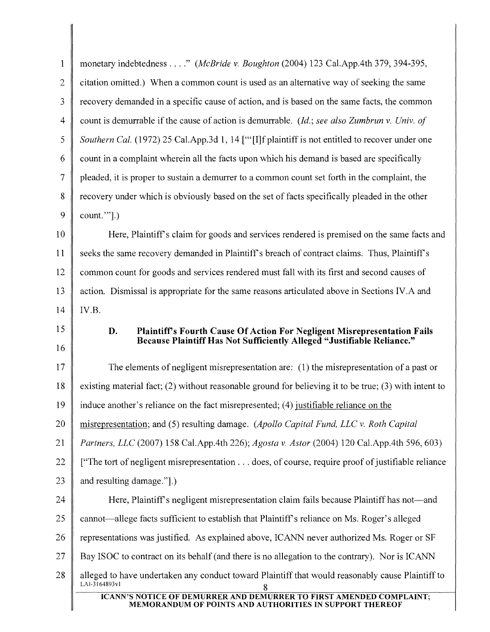| monetary indebtedness" (McBride v. Boughton (2004) 123 Cal.App.4th 379, 394-395,                                                      |  |  |
|---------------------------------------------------------------------------------------------------------------------------------------|--|--|
| citation omitted.) When a common count is used as an alternative way of seeking the same                                              |  |  |
| recovery demanded in a specific cause of action, and is based on the same facts, the common                                           |  |  |
| count is demurrable if the cause of action is demurrable. (Id.; see also Zumbrun v. Univ. of                                          |  |  |
| Southern Cal. (1972) 25 Cal.App.3d 1, 14 ["[I]f plaintiff is not entitled to recover under one                                        |  |  |
| count in a complaint wherein all the facts upon which his demand is based are specifically                                            |  |  |
| pleaded, it is proper to sustain a demurrer to a common count set forth in the complaint, the                                         |  |  |
| recovery under which is obviously based on the set of facts specifically pleaded in the other                                         |  |  |
| $count."$ ].)                                                                                                                         |  |  |
| Here, Plaintiff's claim for goods and services rendered is premised on the same facts and                                             |  |  |
| seeks the same recovery demanded in Plaintiff's breach of contract claims. Thus, Plaintiff's                                          |  |  |
| common count for goods and services rendered must fall with its first and second causes of                                            |  |  |
| action. Dismissal is appropriate for the same reasons articulated above in Sections IV.A and                                          |  |  |
| IV.B.                                                                                                                                 |  |  |
| 15<br>D.<br>Plaintiff's Fourth Cause Of Action For Negligent Misrepresentation Fails                                                  |  |  |
| Because Plaintiff Has Not Sufficiently Alleged "Justifiable Reliance."                                                                |  |  |
| The elements of negligent misrepresentation are: (1) the misrepresentation of a past or                                               |  |  |
| existing material fact; (2) without reasonable ground for believing it to be true; (3) with intent to                                 |  |  |
| induce another's reliance on the fact misrepresented; (4) justifiable reliance on the                                                 |  |  |
| misrepresentation; and (5) resulting damage. (Apollo Capital Fund, LLC v. Roth Capital                                                |  |  |
| Partners, LLC (2007) 158 Cal.App.4th 226); Agosta v. Astor (2004) 120 Cal.App.4th 596, 603)                                           |  |  |
| ["The tort of negligent misrepresentation does, of course, require proof of justifiable reliance                                      |  |  |
| and resulting damage.".)                                                                                                              |  |  |
| Here, Plaintiff's negligent misrepresentation claim fails because Plaintiff has not—and                                               |  |  |
| cannot—allege facts sufficient to establish that Plaintiff's reliance on Ms. Roger's alleged                                          |  |  |
| representations was justified. As explained above, ICANN never authorized Ms. Roger or SF                                             |  |  |
| Bay ISOC to contract on its behalf (and there is no allegation to the contrary). Nor is ICANN                                         |  |  |
| alleged to have undertaken any conduct toward Plaintiff that would reasonably cause Plaintiff to<br>LAI-3164893v1                     |  |  |
| <b>ICANN'S NOTICE OF DEMURRER AND DEMURRER TO FIRST AMENDED COMPLAINT;</b><br>MEMORANDUM OF POINTS AND AUTHORITIES IN SUPPORT THEREOF |  |  |
|                                                                                                                                       |  |  |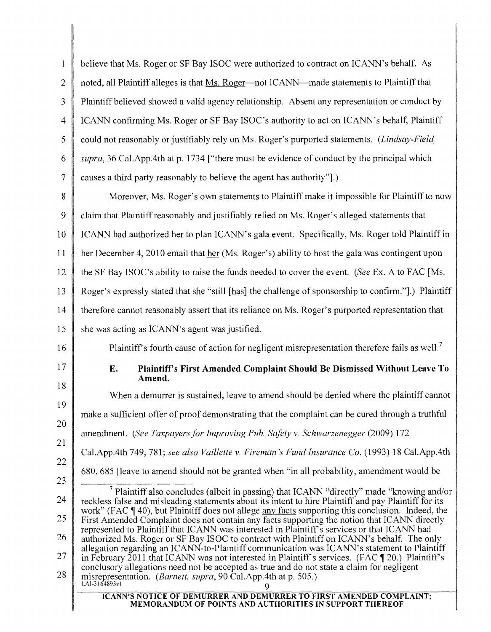| $\mathbf{1}$   | believe that Ms. Roger or SF Bay ISOC were authorized to contract on ICANN's behalf. As                                                                                                                                                                                                                  |
|----------------|----------------------------------------------------------------------------------------------------------------------------------------------------------------------------------------------------------------------------------------------------------------------------------------------------------|
| $\overline{2}$ | noted, all Plaintiff alleges is that Ms. Roger—not ICANN—made statements to Plaintiff that                                                                                                                                                                                                               |
| $\overline{3}$ | Plaintiff believed showed a valid agency relationship. Absent any representation or conduct by                                                                                                                                                                                                           |
| 4              | ICANN confirming Ms. Roger or SF Bay ISOC's authority to act on ICANN's behalf, Plaintiff                                                                                                                                                                                                                |
| 5              | could not reasonably or justifiably rely on Ms. Roger's purported statements. (Lindsay-Field,                                                                                                                                                                                                            |
| 6              | supra, 36 Cal. App. 4th at p. 1734 ["there must be evidence of conduct by the principal which                                                                                                                                                                                                            |
| $\tau$         | causes a third party reasonably to believe the agent has authority".)                                                                                                                                                                                                                                    |
| 8              | Moreover, Ms. Roger's own statements to Plaintiff make it impossible for Plaintiff to now                                                                                                                                                                                                                |
| 9              | claim that Plaintiff reasonably and justifiably relied on Ms. Roger's alleged statements that                                                                                                                                                                                                            |
| 10             | ICANN had authorized her to plan ICANN's gala event. Specifically, Ms. Roger told Plaintiff in                                                                                                                                                                                                           |
| 11             | her December 4, 2010 email that her (Ms. Roger's) ability to host the gala was contingent upon                                                                                                                                                                                                           |
| 12             | the SF Bay ISOC's ability to raise the funds needed to cover the event. (See Ex. A to FAC [Ms.                                                                                                                                                                                                           |
| 13             | Roger's expressly stated that she "still [has] the challenge of sponsorship to confirm."].) Plaintiff                                                                                                                                                                                                    |
| 14             | therefore cannot reasonably assert that its reliance on Ms. Roger's purported representation that                                                                                                                                                                                                        |
| 15             | she was acting as ICANN's agent was justified.                                                                                                                                                                                                                                                           |
|                |                                                                                                                                                                                                                                                                                                          |
| 16             | Plaintiff's fourth cause of action for negligent misrepresentation therefore fails as well. <sup>7</sup>                                                                                                                                                                                                 |
| 17             | E.<br>Plaintiff's First Amended Complaint Should Be Dismissed Without Leave To<br>Amend.                                                                                                                                                                                                                 |
| 18             | When a demurrer is sustained, leave to amend should be denied where the plaintiff cannot                                                                                                                                                                                                                 |
| 19             | make a sufficient offer of proof demonstrating that the complaint can be cured through a truthful                                                                                                                                                                                                        |
|                | amendment. (See Taxpayers for Improving Pub. Safety v. Schwarzenegger (2009) 172                                                                                                                                                                                                                         |
| 21             | Cal.App.4th 749, 781; see also Vaillette v. Fireman's Fund Insurance Co. (1993) 18 Cal.App.4th                                                                                                                                                                                                           |
| 22             | 680, 685 [leave to amend should not be granted when "in all probability, amendment would be                                                                                                                                                                                                              |
| 20<br>23       | $\frac{7}{7}$ Plaintiff also concludes (albeit in passing) that ICANN "directly" made "knowing and/or                                                                                                                                                                                                    |
| 24             | reckless false and misleading statements about its intent to hire Plaintiff and pay Plaintiff for its<br>work" (FAC ¶ 40), but Plaintiff does not allege any facts supporting this conclusion. Indeed, the                                                                                               |
| 25             | First Amended Complaint does not contain any facts supporting the notion that ICANN directly<br>represented to Plaintiff that ICANN was interested in Plaintiff's services or that ICANN had                                                                                                             |
| 26<br>27       | authorized Ms. Roger or SF Bay ISOC to contract with Plaintiff on ICANN's behalf. The only<br>allegation regarding an ICANN-to-Plaintiff communication was ICANN's statement to Plaintiff<br>in February 2011 that ICANN was not interested in Plaintiff's services. (FAC $\llbracket 20$ .) Plaintiff's |
| 28             | conclusory allegations need not be accepted as true and do not state a claim for negligent<br>misrepresentation. (Barnett, supra, 90 Cal.App.4th at p. 505.)<br>LAI-3164893v1<br><b>ICANN'S NOTICE OF DEMURRER AND DEMURRER TO FIRST AMENDED COMPLAINT;</b>                                              |